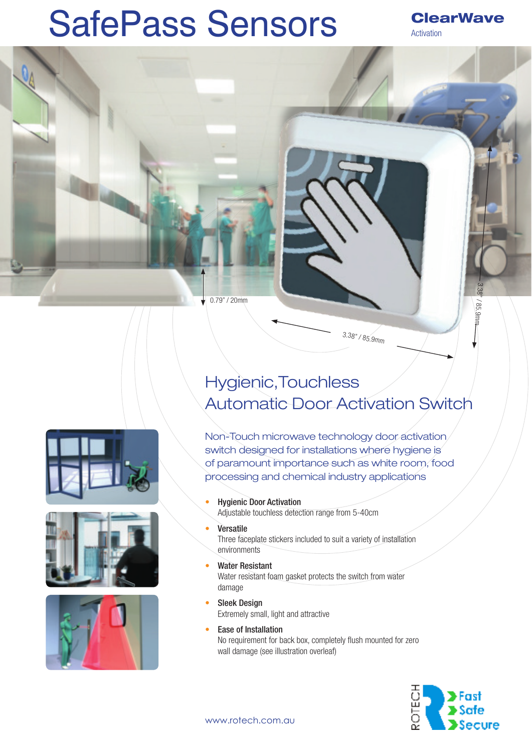## SafePass Sensors

## **ClearWave** Activation

3.38" / 85.9mm

/85.9mm

0.79" / 20mm

Hygienic,Touchless Automatic Door Activation Switch

Non-Touch microwave technology door activation switch designed for installations where hygiene is of paramount importance such as white room, food processing and chemical industry applications

 $3.38" / 85.9$ mm

- Hygienic Door Activation Adjustable touchless detection range from 5-40cm
	- **Versatile** Three faceplate stickers included to suit a variety of installation environments
- Water Resistant Water resistant foam gasket protects the switch from water damage
- **Sleek Design** Extremely small, light and attractive
- Ease of Installation No requirement for back box, completely flush mounted for zero wall damage (see illustration overleaf)